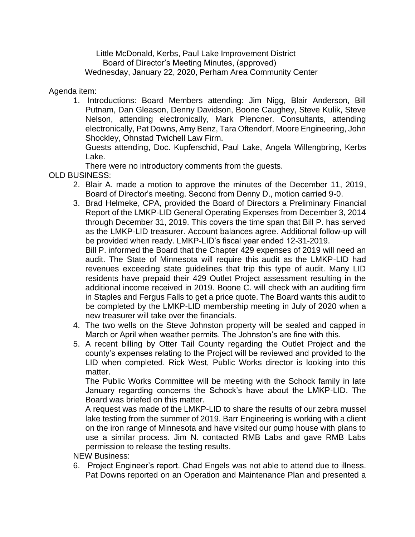Little McDonald, Kerbs, Paul Lake Improvement District Board of Director's Meeting Minutes, (approved) Wednesday, January 22, 2020, Perham Area Community Center

## Agenda item:

1. Introductions: Board Members attending: Jim Nigg, Blair Anderson, Bill Putnam, Dan Gleason, Denny Davidson, Boone Caughey, Steve Kulik, Steve Nelson, attending electronically, Mark Plencner. Consultants, attending electronically, Pat Downs, Amy Benz, Tara Oftendorf, Moore Engineering, John Shockley, Ohnstad Twichell Law Firm.

Guests attending, Doc. Kupferschid, Paul Lake, Angela Willengbring, Kerbs Lake.

There were no introductory comments from the guests.

- OLD BUSINESS:
	- 2. Blair A. made a motion to approve the minutes of the December 11, 2019, Board of Director's meeting. Second from Denny D., motion carried 9-0.
	- 3. Brad Helmeke, CPA, provided the Board of Directors a Preliminary Financial Report of the LMKP-LID General Operating Expenses from December 3, 2014 through December 31, 2019. This covers the time span that Bill P. has served as the LMKP-LID treasurer. Account balances agree. Additional follow-up will be provided when ready. LMKP-LID's fiscal year ended 12-31-2019. Bill P. informed the Board that the Chapter 429 expenses of 2019 will need an

audit. The State of Minnesota will require this audit as the LMKP-LID had revenues exceeding state guidelines that trip this type of audit. Many LID residents have prepaid their 429 Outlet Project assessment resulting in the additional income received in 2019. Boone C. will check with an auditing firm in Staples and Fergus Falls to get a price quote. The Board wants this audit to be completed by the LMKP-LID membership meeting in July of 2020 when a new treasurer will take over the financials.

- 4. The two wells on the Steve Johnston property will be sealed and capped in March or April when weather permits. The Johnston's are fine with this.
- 5. A recent billing by Otter Tail County regarding the Outlet Project and the county's expenses relating to the Project will be reviewed and provided to the LID when completed. Rick West, Public Works director is looking into this matter.

The Public Works Committee will be meeting with the Schock family in late January regarding concerns the Schock's have about the LMKP-LID. The Board was briefed on this matter.

A request was made of the LMKP-LID to share the results of our zebra mussel lake testing from the summer of 2019. Barr Engineering is working with a client on the iron range of Minnesota and have visited our pump house with plans to use a similar process. Jim N. contacted RMB Labs and gave RMB Labs permission to release the testing results.

NEW Business:

6. Project Engineer's report. Chad Engels was not able to attend due to illness. Pat Downs reported on an Operation and Maintenance Plan and presented a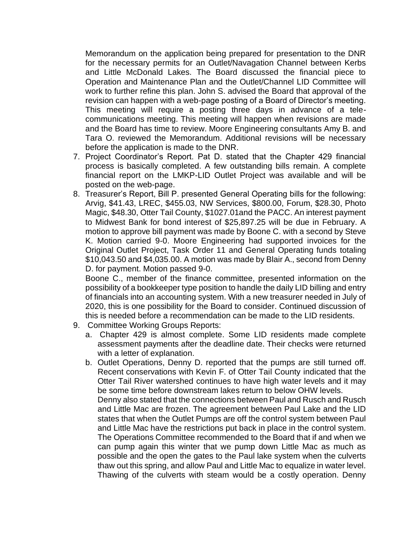Memorandum on the application being prepared for presentation to the DNR for the necessary permits for an Outlet/Navagation Channel between Kerbs and Little McDonald Lakes. The Board discussed the financial piece to Operation and Maintenance Plan and the Outlet/Channel LID Committee will work to further refine this plan. John S. advised the Board that approval of the revision can happen with a web-page posting of a Board of Director's meeting. This meeting will require a posting three days in advance of a telecommunications meeting. This meeting will happen when revisions are made and the Board has time to review. Moore Engineering consultants Amy B. and Tara O. reviewed the Memorandum. Additional revisions will be necessary before the application is made to the DNR.

- 7. Project Coordinator's Report. Pat D. stated that the Chapter 429 financial process is basically completed. A few outstanding bills remain. A complete financial report on the LMKP-LID Outlet Project was available and will be posted on the web-page.
- 8. Treasurer's Report, Bill P. presented General Operating bills for the following: Arvig, \$41.43, LREC, \$455.03, NW Services, \$800.00, Forum, \$28.30, Photo Magic, \$48.30, Otter Tail County, \$1027.01and the PACC. An interest payment to Midwest Bank for bond interest of \$25,897.25 will be due in February. A motion to approve bill payment was made by Boone C. with a second by Steve K. Motion carried 9-0. Moore Engineering had supported invoices for the Original Outlet Project, Task Order 11 and General Operating funds totaling \$10,043.50 and \$4,035.00. A motion was made by Blair A., second from Denny D. for payment. Motion passed 9-0.

Boone C., member of the finance committee, presented information on the possibility of a bookkeeper type position to handle the daily LID billing and entry of financials into an accounting system. With a new treasurer needed in July of 2020, this is one possibility for the Board to consider. Continued discussion of this is needed before a recommendation can be made to the LID residents.

- 9. Committee Working Groups Reports:
	- a. Chapter 429 is almost complete. Some LID residents made complete assessment payments after the deadline date. Their checks were returned with a letter of explanation.
	- b. Outlet Operations, Denny D. reported that the pumps are still turned off. Recent conservations with Kevin F. of Otter Tail County indicated that the Otter Tail River watershed continues to have high water levels and it may be some time before downstream lakes return to below OHW levels. Denny also stated that the connections between Paul and Rusch and Rusch and Little Mac are frozen. The agreement between Paul Lake and the LID states that when the Outlet Pumps are off the control system between Paul and Little Mac have the restrictions put back in place in the control system. The Operations Committee recommended to the Board that if and when we can pump again this winter that we pump down Little Mac as much as possible and the open the gates to the Paul lake system when the culverts thaw out this spring, and allow Paul and Little Mac to equalize in water level. Thawing of the culverts with steam would be a costly operation. Denny